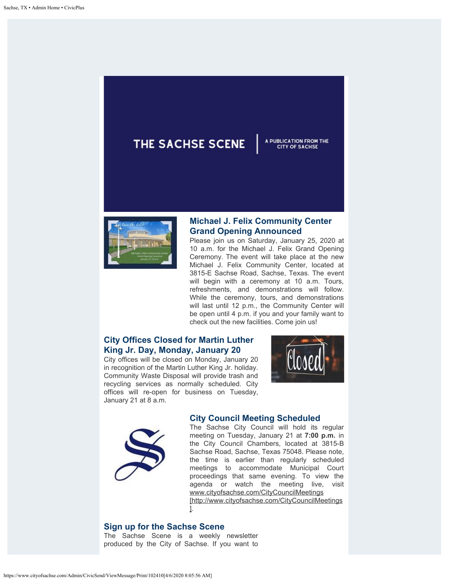# THE SACHSE SCENE

## **Michael J. Felix Community Center Grand Opening Announced**

A PUBLICATION FROM THE

**CITY OF SACHSE** 

Please join us on Saturday, January 25, 2020 at 10 a.m. for the Michael J. Felix Grand Opening Ceremony. The event will take place at the new Michael J. Felix Community Center, located at 3815-E Sachse Road, Sachse, Texas. The event will begin with a ceremony at 10 a.m. Tours, refreshments, and demonstrations will follow. While the ceremony, tours, and demonstrations will last until 12 p.m., the Community Center will be open until 4 p.m. if you and your family want to check out the new facilities. Come join us!

# **City Offices Closed for Martin Luther King Jr. Day, Monday, January 20**

City offices will be closed on Monday, January 20 in recognition of the Martin Luther King Jr. holiday. Community Waste Disposal will provide trash and recycling services as normally scheduled. City offices will re-open for business on Tuesday, January 21 at 8 a.m.





## **City Council Meeting Scheduled**

The Sachse City Council will hold its regular meeting on Tuesday, January 21 at **7:00 p.m.** in the City Council Chambers, located at 3815-B Sachse Road, Sachse, Texas 75048. Please note, the time is earlier than regularly scheduled meetings to accommodate Municipal Court proceedings that same evening. To view the agenda or watch the meeting live, visit [www.cityofsachse.com/CityCouncilMeetings](http://www.cityofsachse.com/CityCouncilMeetings) [http://www.cityofsachse.com/CityCouncilMeetings ].

#### **Sign up for the Sachse Scene**

The Sachse Scene is a weekly newsletter produced by the City of Sachse. If you want to